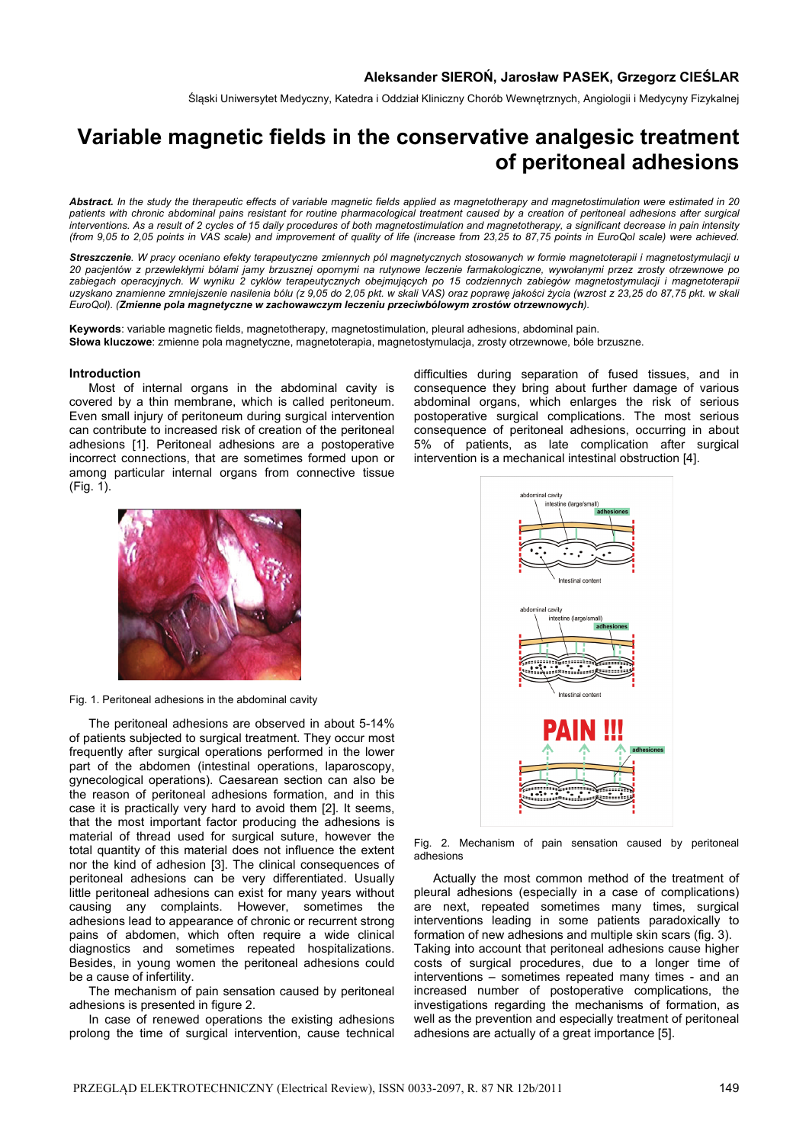Śląski Uniwersytet Medyczny, Katedra i Oddział Kliniczny Chorób Wewnętrznych, Angiologii i Medycyny Fizykalnej

# **Variable magnetic fields in the conservative analgesic treatment of peritoneal adhesions**

*Abstract. In the study the therapeutic effects of variable magnetic fields applied as magnetotherapy and magnetostimulation were estimated in 20 patients with chronic abdominal pains resistant for routine pharmacological treatment caused by a creation of peritoneal adhesions after surgical interventions. As a result of 2 cycles of 15 daily procedures of both magnetostimulation and magnetotherapy, a significant decrease in pain intensity (from 9,05 to 2,05 points in VAS scale) and improvement of quality of life (increase from 23,25 to 87,75 points in EuroQol scale) were achieved.*

*Streszczenie. W pracy oceniano efekty terapeutyczne zmiennych pól magnetycznych stosowanych w formie magnetoterapii i magnetostymulacji u 20 pacjentów z przewlekłymi bólami jamy brzusznej opornymi na rutynowe leczenie farmakologiczne, wywołanymi przez zrosty otrzewnowe po zabiegach operacyjnych. W wyniku 2 cyklów terapeutycznych obejmujących po 15 codziennych zabiegów magnetostymulacji i magnetoterapii uzyskano znamienne zmniejszenie nasilenia bólu (z 9,05 do 2,05 pkt. w skali VAS) oraz poprawę jakości życia (wzrost z 23,25 do 87,75 pkt. w skali EuroQol). (Zmienne pola magnetyczne w zachowawczym leczeniu przeciwbólowym zrostów otrzewnowych).* 

**Keywords**: variable magnetic fields, magnetotherapy, magnetostimulation, pleural adhesions, abdominal pain. **Słowa kluczowe**: zmienne pola magnetyczne, magnetoterapia, magnetostymulacja, zrosty otrzewnowe, bóle brzuszne.

#### **Introduction**

 Most of internal organs in the abdominal cavity is covered by a thin membrane, which is called peritoneum. Even small injury of peritoneum during surgical intervention can contribute to increased risk of creation of the peritoneal adhesions [1]. Peritoneal adhesions are a postoperative incorrect connections, that are sometimes formed upon or among particular internal organs from connective tissue (Fig. 1).



Fig. 1. Peritoneal adhesions in the abdominal cavity

 The peritoneal adhesions are observed in about 5-14% of patients subjected to surgical treatment. They occur most frequently after surgical operations performed in the lower part of the abdomen (intestinal operations, laparoscopy, gynecological operations). Caesarean section can also be the reason of peritoneal adhesions formation, and in this case it is practically very hard to avoid them [2]. It seems, that the most important factor producing the adhesions is material of thread used for surgical suture, however the total quantity of this material does not influence the extent nor the kind of adhesion [3]. The clinical consequences of peritoneal adhesions can be very differentiated. Usually little peritoneal adhesions can exist for many years without causing any complaints. However, sometimes the adhesions lead to appearance of chronic or recurrent strong pains of abdomen, which often require a wide clinical diagnostics and sometimes repeated hospitalizations. Besides, in young women the peritoneal adhesions could be a cause of infertility.

 The mechanism of pain sensation caused by peritoneal adhesions is presented in figure 2.

 In case of renewed operations the existing adhesions prolong the time of surgical intervention, cause technical

difficulties during separation of fused tissues, and in consequence they bring about further damage of various abdominal organs, which enlarges the risk of serious postoperative surgical complications. The most serious consequence of peritoneal adhesions, occurring in about 5% of patients, as late complication after surgical intervention is a mechanical intestinal obstruction [4].



Fig. 2. Mechanism of pain sensation caused by peritoneal adhesions

 Actually the most common method of the treatment of pleural adhesions (especially in a case of complications) are next, repeated sometimes many times, surgical interventions leading in some patients paradoxically to formation of new adhesions and multiple skin scars (fig. 3). Taking into account that peritoneal adhesions cause higher costs of surgical procedures, due to a longer time of interventions – sometimes repeated many times - and an increased number of postoperative complications, the investigations regarding the mechanisms of formation, as well as the prevention and especially treatment of peritoneal adhesions are actually of a great importance [5].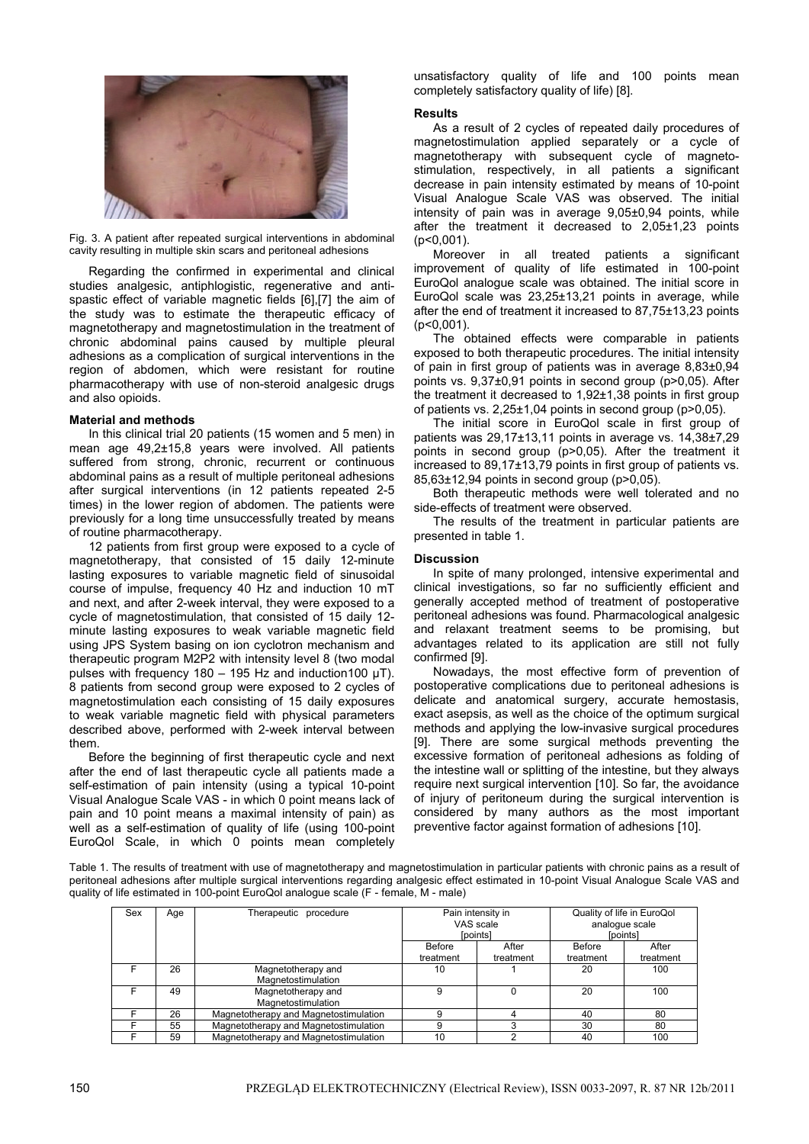

Fig. 3. A patient after repeated surgical interventions in abdominal cavity resulting in multiple skin scars and peritoneal adhesions

 Regarding the confirmed in experimental and clinical studies analgesic, antiphlogistic, regenerative and antispastic effect of variable magnetic fields [6],[7] the aim of the study was to estimate the therapeutic efficacy of magnetotherapy and magnetostimulation in the treatment of chronic abdominal pains caused by multiple pleural adhesions as a complication of surgical interventions in the region of abdomen, which were resistant for routine pharmacotherapy with use of non-steroid analgesic drugs and also opioids.

# **Material and methods**

 In this clinical trial 20 patients (15 women and 5 men) in mean age 49,2±15,8 years were involved. All patients suffered from strong, chronic, recurrent or continuous abdominal pains as a result of multiple peritoneal adhesions after surgical interventions (in 12 patients repeated 2-5 times) in the lower region of abdomen. The patients were previously for a long time unsuccessfully treated by means of routine pharmacotherapy.

 12 patients from first group were exposed to a cycle of magnetotherapy, that consisted of 15 daily 12-minute lasting exposures to variable magnetic field of sinusoidal course of impulse, frequency 40 Hz and induction 10 mT and next, and after 2-week interval, they were exposed to a cycle of magnetostimulation, that consisted of 15 daily 12 minute lasting exposures to weak variable magnetic field using JPS System basing on ion cyclotron mechanism and therapeutic program M2P2 with intensity level 8 (two modal pulses with frequency 180 – 195 Hz and induction 100  $\mu$ T). 8 patients from second group were exposed to 2 cycles of magnetostimulation each consisting of 15 daily exposures to weak variable magnetic field with physical parameters described above, performed with 2-week interval between them.

 Before the beginning of first therapeutic cycle and next after the end of last therapeutic cycle all patients made a self-estimation of pain intensity (using a typical 10-point Visual Analogue Scale VAS - in which 0 point means lack of pain and 10 point means a maximal intensity of pain) as well as a self-estimation of quality of life (using 100-point EuroQol Scale, in which 0 points mean completely

unsatisfactory quality of life and 100 points mean completely satisfactory quality of life) [8].

### **Results**

As a result of 2 cycles of repeated daily procedures of magnetostimulation applied separately or a cycle of magnetotherapy with subsequent cycle of magnetostimulation, respectively, in all patients a significant decrease in pain intensity estimated by means of 10-point Visual Analogue Scale VAS was observed. The initial intensity of pain was in average 9,05±0,94 points, while after the treatment it decreased to 2,05±1,23 points (p<0,001).

 Moreover in all treated patients a significant improvement of quality of life estimated in 100-point EuroQol analogue scale was obtained. The initial score in EuroQol scale was 23,25±13,21 points in average, while after the end of treatment it increased to 87,75±13,23 points (p<0,001).

 The obtained effects were comparable in patients exposed to both therapeutic procedures. The initial intensity of pain in first group of patients was in average 8,83±0,94 points vs. 9,37±0,91 points in second group (p>0,05). After the treatment it decreased to 1,92±1,38 points in first group of patients vs. 2,25±1,04 points in second group (p>0,05).

 The initial score in EuroQol scale in first group of patients was 29,17±13,11 points in average vs. 14,38±7,29 points in second group (p>0,05). After the treatment it increased to 89,17±13,79 points in first group of patients vs. 85,63±12,94 points in second group (p>0,05).

 Both therapeutic methods were well tolerated and no side-effects of treatment were observed.

 The results of the treatment in particular patients are presented in table 1.

# **Discussion**

 In spite of many prolonged, intensive experimental and clinical investigations, so far no sufficiently efficient and generally accepted method of treatment of postoperative peritoneal adhesions was found. Pharmacological analgesic and relaxant treatment seems to be promising, but advantages related to its application are still not fully confirmed [9].

 Nowadays, the most effective form of prevention of postoperative complications due to peritoneal adhesions is delicate and anatomical surgery, accurate hemostasis, exact asepsis, as well as the choice of the optimum surgical methods and applying the low-invasive surgical procedures [9]. There are some surgical methods preventing the excessive formation of peritoneal adhesions as folding of the intestine wall or splitting of the intestine, but they always require next surgical intervention [10]. So far, the avoidance of injury of peritoneum during the surgical intervention is considered by many authors as the most important preventive factor against formation of adhesions [10].

Table 1. The results of treatment with use of magnetotherapy and magnetostimulation in particular patients with chronic pains as a result of peritoneal adhesions after multiple surgical interventions regarding analgesic effect estimated in 10-point Visual Analogue Scale VAS and quality of life estimated in 100-point EuroQol analogue scale (F - female, M - male)

| Sex | Age | Therapeutic procedure                    | Pain intensity in<br>VAS scale<br>[points] |           | Quality of life in EuroQol<br>analogue scale<br>[points] |           |
|-----|-----|------------------------------------------|--------------------------------------------|-----------|----------------------------------------------------------|-----------|
|     |     |                                          | Before                                     | After     | Before                                                   | After     |
|     |     |                                          | treatment                                  | treatment | treatment                                                | treatment |
|     | 26  | Magnetotherapy and<br>Magnetostimulation | 10                                         |           | 20                                                       | 100       |
|     | 49  | Magnetotherapy and<br>Magnetostimulation | 9                                          |           | 20                                                       | 100       |
|     | 26  | Magnetotherapy and Magnetostimulation    | 9                                          |           | 40                                                       | 80        |
|     | 55  | Magnetotherapy and Magnetostimulation    |                                            |           | 30                                                       | 80        |
|     | 59  | Magnetotherapy and Magnetostimulation    | 10                                         |           | 40                                                       | 100       |